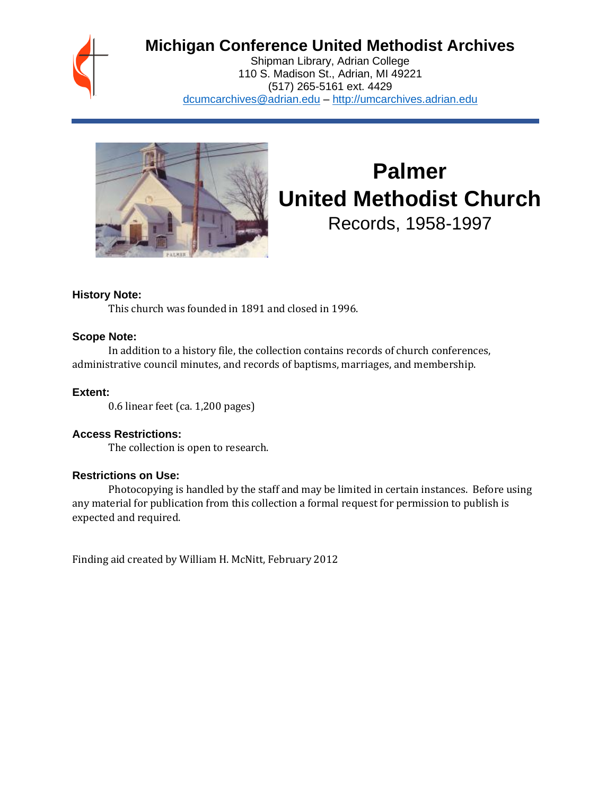

# **Michigan Conference United Methodist Archives**

Shipman Library, Adrian College 110 S. Madison St., Adrian, MI 49221 (517) 265-5161 ext. 4429 [dcumcarchives@adrian.edu](mailto:dcumcarchives@adrian.edu) – [http://umcarchives.adrian.edu](http://umcarchives.adrian.edu/)



# **Palmer United Methodist Church**

Records, 1958-1997

## **History Note:**

This church was founded in 1891 and closed in 1996.

#### **Scope Note:**

In addition to a history file, the collection contains records of church conferences, administrative council minutes, and records of baptisms, marriages, and membership.

## **Extent:**

0.6 linear feet (ca. 1,200 pages)

# **Access Restrictions:**

The collection is open to research.

# **Restrictions on Use:**

Photocopying is handled by the staff and may be limited in certain instances. Before using any material for publication from this collection a formal request for permission to publish is expected and required.

Finding aid created by William H. McNitt, February 2012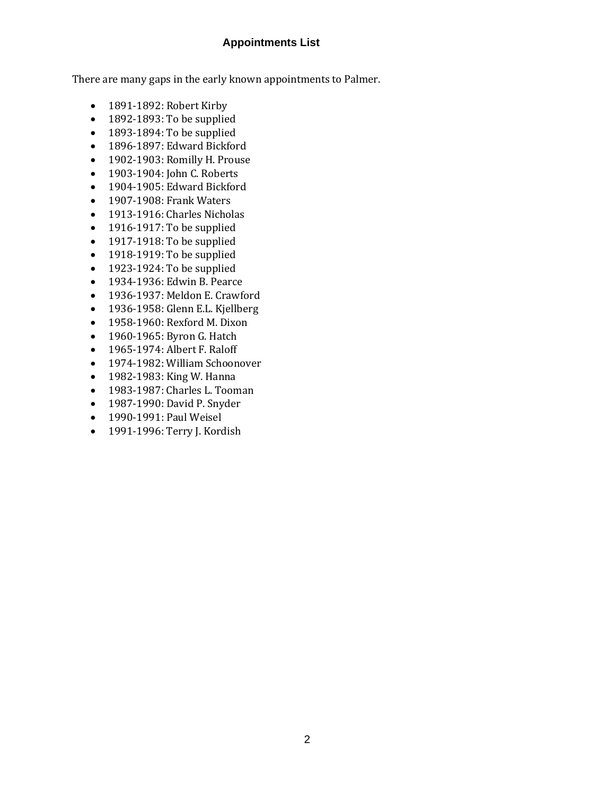## **Appointments List**

There are many gaps in the early known appointments to Palmer.

- 1891-1892: Robert Kirby
- 1892-1893: To be supplied
- 1893-1894: To be supplied
- 1896-1897: Edward Bickford
- 1902-1903: Romilly H. Prouse
- 1903-1904: John C. Roberts
- 1904-1905: Edward Bickford
- 1907-1908: Frank Waters
- 1913-1916: Charles Nicholas
- 1916-1917: To be supplied
- 1917-1918: To be supplied
- 1918-1919: To be supplied
- 1923-1924: To be supplied
- 1934-1936: Edwin B. Pearce
- 1936-1937: Meldon E. Crawford
- 1936-1958: Glenn E.L. Kjellberg
- 1958-1960: Rexford M. Dixon
- 1960-1965: Byron G. Hatch
- 1965-1974: Albert F. Raloff
- 1974-1982: William Schoonover
- 1982-1983: King W. Hanna
- 1983-1987: Charles L. Tooman
- 1987-1990: David P. Snyder
- 1990-1991: Paul Weisel
- 1991-1996: Terry J. Kordish